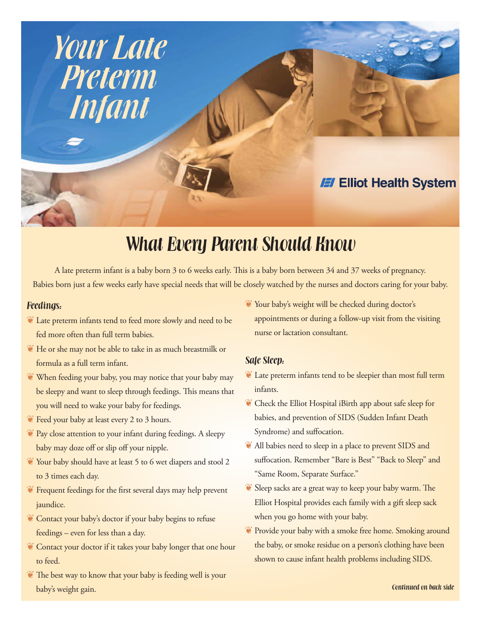

# **What Every Parent Should Know**

A late preterm infant is a baby born 3 to 6 weeks early. This is a baby born between 34 and 37 weeks of pregnancy. Babies born just a few weeks early have special needs that will be closely watched by the nurses and doctors caring for your baby.

### **Feedings:**

- $^{\circledast}$  Late preterm infants tend to feed more slowly and need to be fed more often than full term babies.
- $\mathbb {C}$  He or she may not be able to take in as much breastmilk or formula as a full term infant.
- $\mathbb{C}$  When feeding your baby, you may notice that your baby may be sleepy and want to sleep through feedings. This means that you will need to wake your baby for feedings.
- $\bullet$  Feed your baby at least every 2 to 3 hours.
- $\bullet$  Pay close attention to your infant during feedings. A sleepy baby may doze off or slip off your nipple.
- $^{\circledast}$  Your baby should have at least 5 to 6 wet diapers and stool 2 to 3 times each day.
- $\bullet$  Frequent feedings for the first several days may help prevent jaundice.
- Contact your baby's doctor if your baby begins to refuse feedings – even for less than a day.
- Contact your doctor if it takes your baby longer that one hour to feed.
- $^{\circ}$  The best way to know that your baby is feeding well is your baby's weight gain.

 $^{\circ\circ}$  Your baby's weight will be checked during doctor's appointments or during a follow-up visit from the visiting nurse or lactation consultant.

### **Safe Sleep:**

- $\bullet$  Late preterm infants tend to be sleepier than most full term infants.
- $\bullet$  Check the Elliot Hospital iBirth app about safe sleep for babies, and prevention of SIDS (Sudden Infant Death Syndrome) and suffocation.
- $\bullet$  All babies need to sleep in a place to prevent SIDS and suffocation. Remember "Bare is Best" "Back to Sleep" and "Same Room, Separate Surface."
- $\bullet$  Sleep sacks are a great way to keep your baby warm. The Elliot Hospital provides each family with a gift sleep sack when you go home with your baby.
- $^{\circ}$  Provide your baby with a smoke free home. Smoking around the baby, or smoke residue on a person's clothing have been shown to cause infant health problems including SIDS.